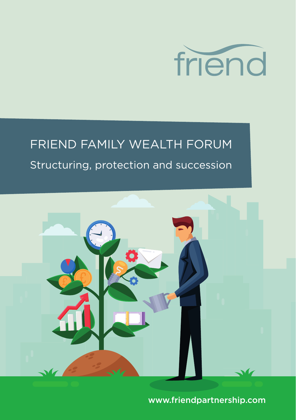

# FRIEND FAMILY WEALTH FORUM

## Structuring, protection and succession



www.friendpartnership.com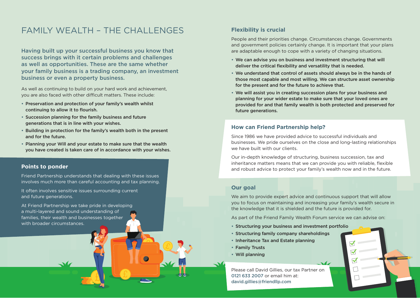## FAMILY WEALTH – THE CHALLENGES

Having built up your successful business you know that success brings with it certain problems and challenges as well as opportunities. These are the same whether your family business is a trading company, an investment business or even a property business.

As well as continuing to build on your hard work and achievement, you are also faced with other difficult matters. These include:

- Preservation and protection of your family's wealth whilst continuing to allow it to flourish.
- Succession planning for the family business and future generations that is in line with your wishes.
- Building in protection for the family's wealth both in the present and for the future.
- Planning your Will and your estate to make sure that the wealth you have created is taken care of in accordance with your wishes.

#### **Points to ponder**

Friend Partnership understands that dealing with these issues involves much more than careful accounting and tax planning.

It often involves sensitive issues surrounding current and future generations.

At Friend Partnership we take pride in developing a multi-layered and sound understanding of families, their wealth and businesses together with broader circumstances.

### **Flexibility is crucial**

People and their priorities change. Circumstances change. Governments and government policies certainly change. It is important that your plans are adaptable enough to cope with a variety of changing situations.

- We can advise you on business and investment structuring that will deliver the critical flexibility and versatility that is needed.
- We understand that control of assets should always be in the hands of those most capable and most willing. We can structure asset ownership for the present and for the future to achieve that.
- We will assist you in creating succession plans for your business and planning for your wider estate to make sure that your loved ones are provided for and that family wealth is both protected and preserved for future generations.

### **How can Friend Partnership help?**

Since 1986 we have provided advice to successful individuals and businesses. We pride ourselves on the close and long-lasting relationships we have built with our clients.

Our in-depth knowledge of structuring, business succession, tax and inheritance matters means that we can provide you with reliable, flexible and robust advice to protect your family's wealth now and in the future.

#### **Our goal**

We aim to provide expert advice and continuous support that will allow you to focus on maintaining and increasing your family's wealth secure in the knowledge that it is shielded and the future is provided for.

> $\blacktriangledown$  $\blacktriangledown$  $\blacktriangledown$

As part of the Friend Family Wealth Forum service we can advise on:

- Structuring your business and investment portfolio
- Structuring family company shareholdings
- Inheritance Tax and Estate planning
- Family Trusts
- Will planning

Please call David Gillies, our tax Partner on 0121 633 2007 or email him at: david.gillies@friendllp.com